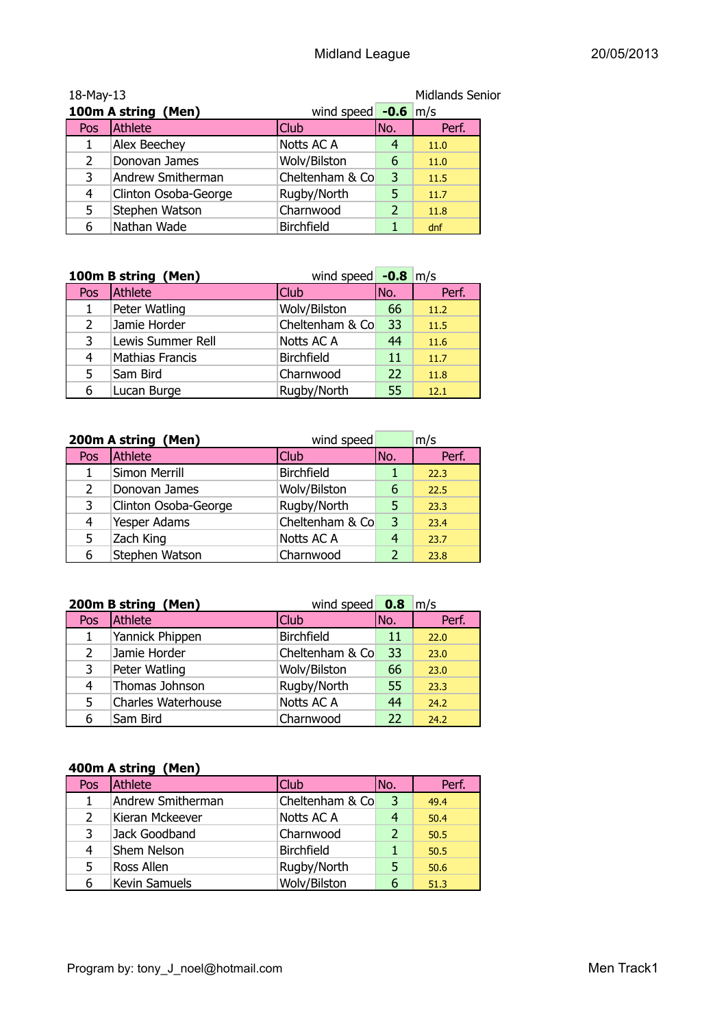| <b>Midlands Senior</b><br>18-May-13          |                      |                   |     |       |
|----------------------------------------------|----------------------|-------------------|-----|-------|
| 100m A string (Men)<br>wind speed $-0.6$ m/s |                      |                   |     |       |
| Pos                                          | Athlete              | Club              | No. | Perf. |
|                                              | <b>Alex Beechey</b>  | Notts AC A        | 4   | 11.0  |
| 2                                            | Donovan James        | Wolv/Bilston      | 6   | 11.0  |
| 3                                            | Andrew Smitherman    | Cheltenham & Co   | 3   | 11.5  |
| 4                                            | Clinton Osoba-George | Rugby/North       | 5   | 11.7  |
| 5                                            | Stephen Watson       | Charnwood         | 2   | 11.8  |
| 6                                            | Nathan Wade          | <b>Birchfield</b> |     | dnf   |

|                | 100m B string (Men)    | wind speed $-0.8$ m/s |     |       |
|----------------|------------------------|-----------------------|-----|-------|
| Pos            | Athlete                | <b>Club</b>           | No. | Perf. |
| 1              | Peter Watling          | Wolv/Bilston          | 66  | 11.2  |
| $\overline{2}$ | Jamie Horder           | Cheltenham & Co       | 33  | 11.5  |
| 3              | Lewis Summer Rell      | Notts AC A            | 44  | 11.6  |
| 4              | <b>Mathias Francis</b> | <b>Birchfield</b>     | 11  | 11.7  |
| 5              | Sam Bird               | Charnwood             | 22  | 11.8  |
| 6              | Lucan Burge            | Rugby/North           | 55  | 12.1  |

|               | 200m A string (Men)  | wind speed        |      | m/s   |
|---------------|----------------------|-------------------|------|-------|
| Pos           | Athlete              | <b>Club</b>       | (No. | Perf. |
|               | Simon Merrill        | <b>Birchfield</b> |      | 22.3  |
| $\mathcal{L}$ | Donovan James        | Wolv/Bilston      | 6    | 22.5  |
| 3             | Clinton Osoba-George | Rugby/North       | 5    | 23.3  |
| 4             | Yesper Adams         | Cheltenham & Co   | 3    | 23.4  |
| 5             | Zach King            | Notts AC A        |      | 23.7  |
| 6             | Stephen Watson       | Charnwood         |      | 23.8  |

|                | 200m B string (Men)       | wind speed $\overline{0.8}$ m/s |     |       |
|----------------|---------------------------|---------------------------------|-----|-------|
| Pos            | Athlete                   | <b>Club</b>                     | No. | Perf. |
| 1              | Yannick Phippen           | <b>Birchfield</b>               | 11  | 22.0  |
| $\overline{2}$ | Jamie Horder              | Cheltenham & Co                 | 33  | 23.0  |
| 3              | Peter Watling             | Wolv/Bilston                    | 66  | 23.0  |
| 4              | Thomas Johnson            | Rugby/North                     | 55  | 23.3  |
| 5              | <b>Charles Waterhouse</b> | Notts AC A                      | 44  | 24.2  |
| 6              | Sam Bird                  | Charnwood                       | 22  | 24.2  |

#### **400m A string (Men)**

| Pos | Athlete            | Club              | No.           | Perf. |
|-----|--------------------|-------------------|---------------|-------|
|     | Andrew Smitherman  | Cheltenham & Co   | 3             | 49.4  |
|     | Kieran Mckeever    | Notts AC A        | 4             | 50.4  |
|     | Jack Goodband      | Charnwood         | $\mathcal{P}$ | 50.5  |
| 4   | <b>Shem Nelson</b> | <b>Birchfield</b> |               | 50.5  |
| 5.  | Ross Allen         | Rugby/North       | 5             | 50.6  |
| 6   | Kevin Samuels      | Wolv/Bilston      | 6             | 51.3  |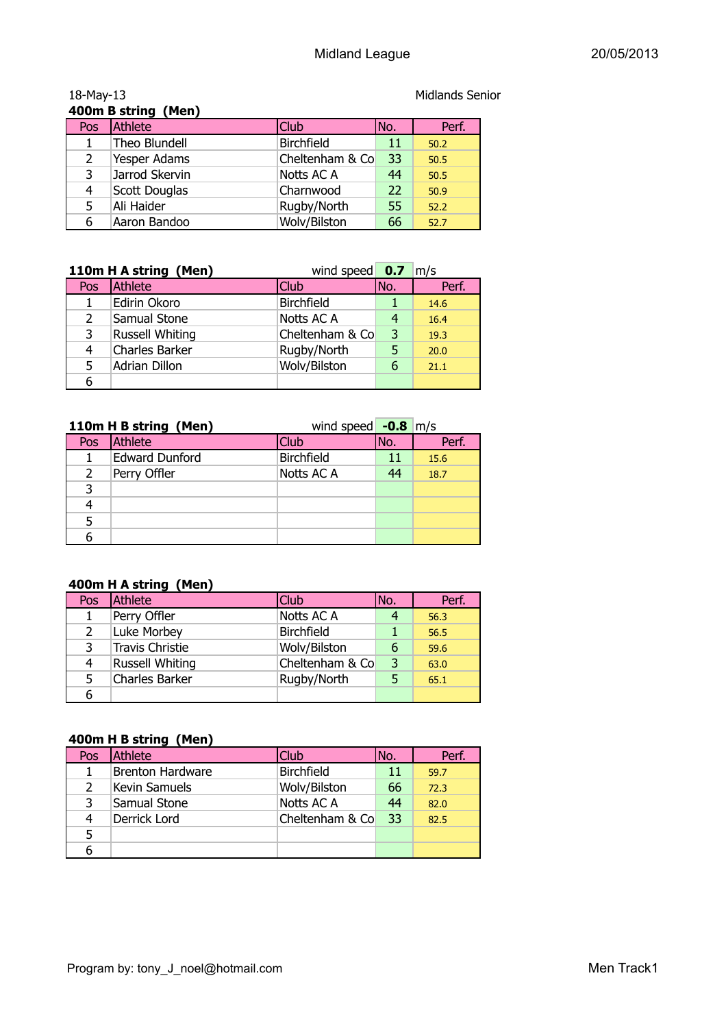|                | 400m B string (Men) |                   |     |       |
|----------------|---------------------|-------------------|-----|-------|
| Pos            | Athlete             | <b>Club</b>       | No. | Perf. |
|                | Theo Blundell       | <b>Birchfield</b> | 11  | 50.2  |
| $\overline{2}$ | Yesper Adams        | Cheltenham & Co   | 33  | 50.5  |
| 3              | Jarrod Skervin      | Notts AC A        | 44  | 50.5  |
| 4              | Scott Douglas       | Charnwood         | 22  | 50.9  |
| 5              | Ali Haider          | Rugby/North       | 55  | 52.2  |
| 6              | Aaron Bandoo        | Wolv/Bilston      | 66  | 52.7  |

**110m H A string (Men)** wind speed **0.7** m/s Pos Athlete Club Club No. Perf. 1 Edirin Okoro Birchfield 1 14.6 2 Samual Stone Notts AC A 4 16.4 3 Russell Whiting Cheltenham & Co 3 19.3 4 Charles Barker Rugby/North 5 20.0 5 Adrian Dillon Wolv/Bilston 6 21.1 6

|     | 110m H B string (Men) | wind speed $-0.8$ m/s |     |       |
|-----|-----------------------|-----------------------|-----|-------|
| Pos | Athlete               | <b>Club</b>           | No. | Perf. |
|     | <b>Edward Dunford</b> | <b>Birchfield</b>     |     | 15.6  |
| 2   | Perry Offler          | Notts AC A            | 44  | 18.7  |
| 3   |                       |                       |     |       |
|     |                       |                       |     |       |
| 5   |                       |                       |     |       |
| 6   |                       |                       |     |       |

#### **400m H A string (Men)**

| Pos            | Athlete                | <b>Club</b>       | No. | Perf. |
|----------------|------------------------|-------------------|-----|-------|
| 1              | Perry Offler           | Notts AC A        |     | 56.3  |
| $\overline{2}$ | Luke Morbey            | <b>Birchfield</b> |     | 56.5  |
| 3              | <b>Travis Christie</b> | Wolv/Bilston      | 6   | 59.6  |
| 4              | <b>Russell Whiting</b> | Cheltenham & Co   | 3   | 63.0  |
| 5              | Charles Barker         | Rugby/North       | 5   | 65.1  |
| 6              |                        |                   |     |       |

#### **400m H B string (Men)**

| Pos           | Athlete                 | Club              | No. | Perf. |
|---------------|-------------------------|-------------------|-----|-------|
|               | <b>Brenton Hardware</b> | <b>Birchfield</b> | 11  | 59.7  |
| $\mathcal{P}$ | Kevin Samuels           | Wolv/Bilston      | 66  | 72.3  |
| 3             | Samual Stone            | Notts AC A        | 44  | 82.0  |
| 4             | Derrick Lord            | Cheltenham & Co   | 33  | 82.5  |
|               |                         |                   |     |       |
|               |                         |                   |     |       |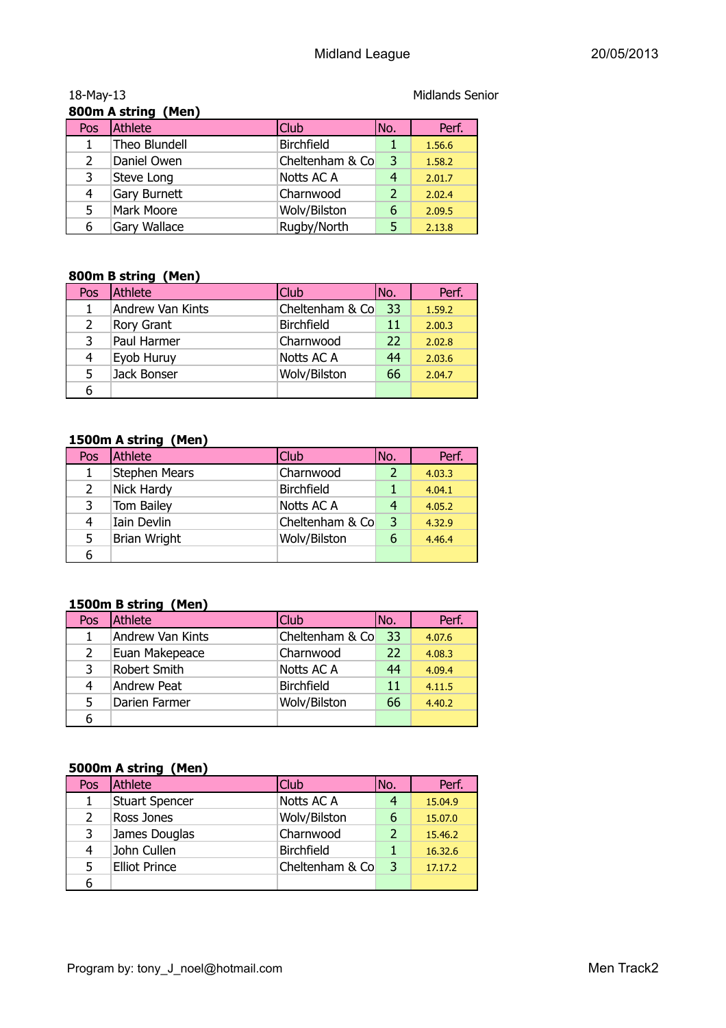|               | 800m A string (Men) |                   |                |        |
|---------------|---------------------|-------------------|----------------|--------|
| Pos           | Athlete             | <b>Club</b>       | No.            | Perf.  |
|               | Theo Blundell       | <b>Birchfield</b> |                | 1.56.6 |
| $\mathcal{L}$ | Daniel Owen         | Cheltenham & Co   | 3              | 1.58.2 |
| 3             | Steve Long          | Notts AC A        | 4              | 2.01.7 |
| 4             | Gary Burnett        | Charnwood         | $\overline{2}$ | 2.02.4 |
| 5.            | Mark Moore          | Wolv/Bilston      | 6              | 2.09.5 |
| 6             | <b>Gary Wallace</b> | Rugby/North       | 5              | 2.13.8 |

#### **800m B string (Men)**

| Pos | Athlete          | <b>Club</b>       | INo. | Perf.  |  |
|-----|------------------|-------------------|------|--------|--|
|     | Andrew Van Kints | Cheltenham & Co   | -33  | 1.59.2 |  |
| 2   | Rory Grant       | <b>Birchfield</b> | 11   | 2.00.3 |  |
| 3   | Paul Harmer      | Charnwood         | 22   | 2.02.8 |  |
| 4   | Eyob Huruy       | Notts AC A        | 44   | 2.03.6 |  |
| 5.  | Jack Bonser      | Wolv/Bilston      | 66   | 2.04.7 |  |
| 6   |                  |                   |      |        |  |

#### **1500m A string (Men)**

| Pos           | Athlete              | Club              | INo. | Perf.  |
|---------------|----------------------|-------------------|------|--------|
|               | <b>Stephen Mears</b> | Charnwood         |      | 4.03.3 |
| $\mathcal{P}$ | Nick Hardy           | <b>Birchfield</b> |      | 4.04.1 |
| 3             | <b>Tom Bailey</b>    | Notts AC A        | 4    | 4.05.2 |
| 4             | Iain Devlin          | Cheltenham & Co   | 3    | 4.32.9 |
| 5             | <b>Brian Wright</b>  | Wolv/Bilston      | 6    | 4.46.4 |
| 6             |                      |                   |      |        |

#### **1500m B string (Men)**

| Pos | Athlete                 | Club              | INo. | Perf.  |
|-----|-------------------------|-------------------|------|--------|
|     | <b>Andrew Van Kints</b> | Cheltenham & Co   | 33   | 4.07.6 |
| 2   | Euan Makepeace          | Charnwood         | 22   | 4.08.3 |
| 3   | Robert Smith            | Notts AC A        | 44   | 4.09.4 |
| 4   | Andrew Peat             | <b>Birchfield</b> | 11   | 4.11.5 |
| 5.  | Darien Farmer           | Wolv/Bilston      | 66   | 4.40.2 |
| 6   |                         |                   |      |        |

#### **5000m A string (Men)**

| Pos | Athlete               | Club              | No. | Perf.   |
|-----|-----------------------|-------------------|-----|---------|
|     | <b>Stuart Spencer</b> | Notts AC A        |     | 15.04.9 |
|     | Ross Jones            | Wolv/Bilston      | 6   | 15.07.0 |
|     | James Douglas         | Charnwood         |     | 15.46.2 |
| 4   | John Cullen           | <b>Birchfield</b> |     | 16.32.6 |
| 5   | <b>Elliot Prince</b>  | Cheltenham & Co   | 3   | 17.17.2 |
| 6   |                       |                   |     |         |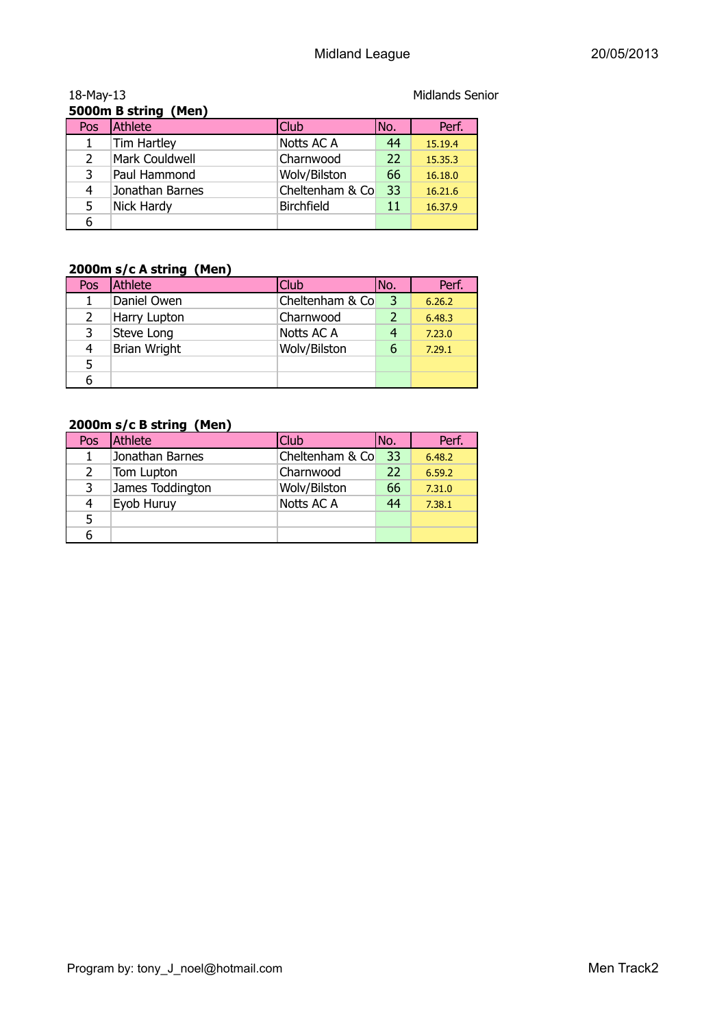| 5000m B string (Men) |                 |                   |     |         |
|----------------------|-----------------|-------------------|-----|---------|
| Pos                  | Athlete         | Club              | No. | Perf.   |
|                      | Tim Hartley     | Notts AC A        | 44  | 15.19.4 |
| $\mathcal{P}$        | Mark Couldwell  | Charnwood         | 22  | 15.35.3 |
| 3                    | Paul Hammond    | Wolv/Bilston      | 66  | 16.18.0 |
| 4                    | Jonathan Barnes | Cheltenham & Co   | 33  | 16.21.6 |
| 5                    | Nick Hardy      | <b>Birchfield</b> | 11  | 16.37.9 |
|                      |                 |                   |     |         |

## **2000m s/c A string (Men)**

|     | zooom s/c A sumg (rien) |                 |      |        |  |  |  |
|-----|-------------------------|-----------------|------|--------|--|--|--|
| Pos | <b>Athlete</b>          | <b>Club</b>     | INo. | Perf.  |  |  |  |
|     | Daniel Owen             | Cheltenham & Co | 3    | 6.26.2 |  |  |  |
| 2   | Harry Lupton            | Charnwood       | 2    | 6.48.3 |  |  |  |
| 3   | Steve Long              | Notts AC A      |      | 7.23.0 |  |  |  |
| 4   | <b>Brian Wright</b>     | Wolv/Bilston    | 6    | 7.29.1 |  |  |  |
| 5.  |                         |                 |      |        |  |  |  |
| 6   |                         |                 |      |        |  |  |  |
|     |                         |                 |      |        |  |  |  |

#### **2000m s/c B string (Men)**

| Pos           | Athlete          | Club <sup>1</sup> | INo. | Perf.  |
|---------------|------------------|-------------------|------|--------|
|               | Jonathan Barnes  | Cheltenham & Co   | 33   | 6.48.2 |
| $\mathcal{P}$ | Tom Lupton       | Charnwood         | 22   | 6.59.2 |
| 3             | James Toddington | Wolv/Bilston      | 66   | 7.31.0 |
| 4             | Eyob Huruy       | Notts AC A        | 44   | 7.38.1 |
| 5             |                  |                   |      |        |
|               |                  |                   |      |        |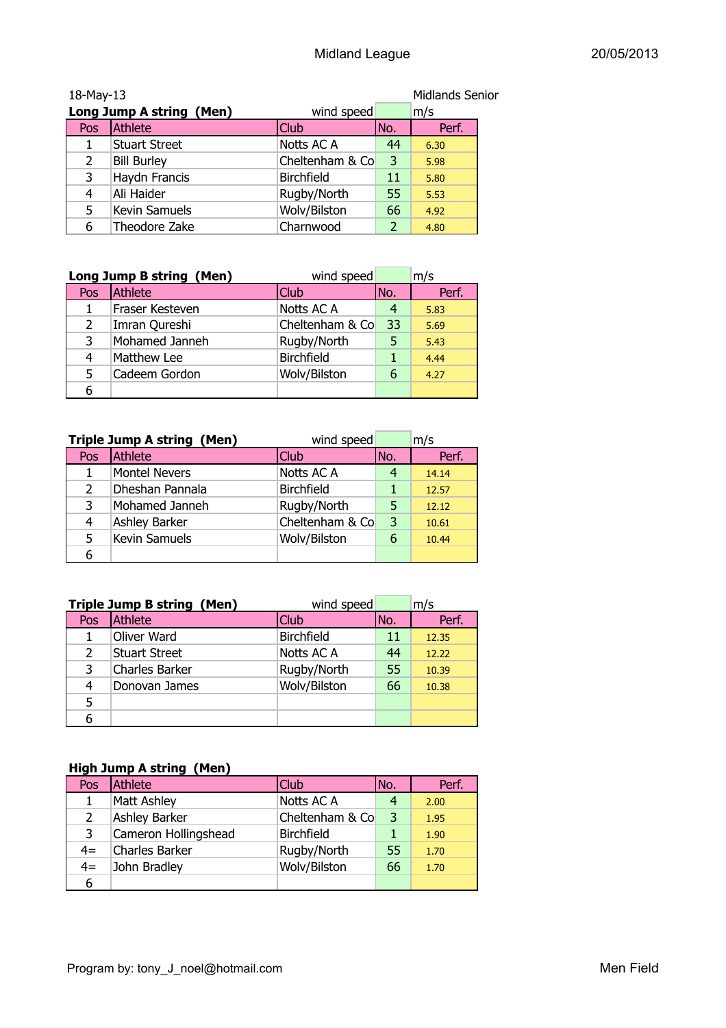| <b>Midlands Senior</b><br>18-May-13 |                      |                   |      |       |
|-------------------------------------|----------------------|-------------------|------|-------|
| Long Jump A string (Men)            |                      | wind speed        |      | m/s   |
| Pos                                 | Athlete              | <b>Club</b>       | INo. | Perf. |
|                                     | <b>Stuart Street</b> | Notts AC A        | 44   | 6.30  |
| 2                                   | <b>Bill Burley</b>   | Cheltenham & Co   | 3    | 5.98  |
| 3                                   | Haydn Francis        | <b>Birchfield</b> | 11   | 5.80  |
| 4                                   | Ali Haider           | Rugby/North       | 55   | 5.53  |
| 5                                   | <b>Kevin Samuels</b> | Wolv/Bilston      | 66   | 4.92  |
| 6                                   | Theodore Zake        | Charnwood         | 2    | 4.80  |

|                | Long Jump B string (Men)<br>wind speed |                   |      | m/s   |
|----------------|----------------------------------------|-------------------|------|-------|
| Pos            | Athlete                                | <b>Club</b>       | INo. | Perf. |
| 1              | Fraser Kesteven                        | Notts AC A        |      | 5.83  |
| $\overline{2}$ | Imran Qureshi                          | Cheltenham & Co   | 33   | 5.69  |
| 3              | Mohamed Janneh                         | Rugby/North       | 5    | 5.43  |
| 4              | Matthew Lee                            | <b>Birchfield</b> |      | 4.44  |
| 5              | Cadeem Gordon                          | Wolv/Bilston      | 6    | 4.27  |
| 6              |                                        |                   |      |       |

| <b>Triple Jump A string (Men)</b><br>wind speed |                      |                   |      | m/s   |
|-------------------------------------------------|----------------------|-------------------|------|-------|
| Pos                                             | <b>Athlete</b>       | <b>Club</b>       | INo. | Perf. |
| 1                                               | <b>Montel Nevers</b> | Notts AC A        |      | 14.14 |
| $\overline{2}$                                  | Dheshan Pannala      | <b>Birchfield</b> |      | 12.57 |
| 3                                               | Mohamed Janneh       | Rugby/North       | 5    | 12.12 |
| 4                                               | Ashley Barker        | Cheltenham & Co   | 3    | 10.61 |
| 5                                               | Kevin Samuels        | Wolv/Bilston      | 6    | 10.44 |
| 6                                               |                      |                   |      |       |

| <b>Triple Jump B string (Men)</b><br>wind speed |                       |                   | m/s |       |
|-------------------------------------------------|-----------------------|-------------------|-----|-------|
| Pos                                             | <b>Athlete</b>        | Club              | No. | Perf. |
|                                                 | Oliver Ward           | <b>Birchfield</b> | 11  | 12.35 |
| $\mathcal{P}$                                   | <b>Stuart Street</b>  | Notts AC A        | 44  | 12.22 |
| 3                                               | <b>Charles Barker</b> | Rugby/North       | 55  | 10.39 |
| 4                                               | Donovan James         | Wolv/Bilston      | 66  | 10.38 |
| 5                                               |                       |                   |     |       |
| 6                                               |                       |                   |     |       |

### **High Jump A string (Men)**

| Pos  | Athlete              | <b>Club</b>       | No. | Perf. |
|------|----------------------|-------------------|-----|-------|
|      | <b>Matt Ashley</b>   | Notts AC A        |     | 2.00  |
| 2    | <b>Ashley Barker</b> | Cheltenham & Co   | 3   | 1.95  |
| 3    | Cameron Hollingshead | <b>Birchfield</b> |     | 1.90  |
| $4=$ | Charles Barker       | Rugby/North       | 55  | 1.70  |
| $4=$ | John Bradley         | Wolv/Bilston      | 66  | 1.70  |
| 6    |                      |                   |     |       |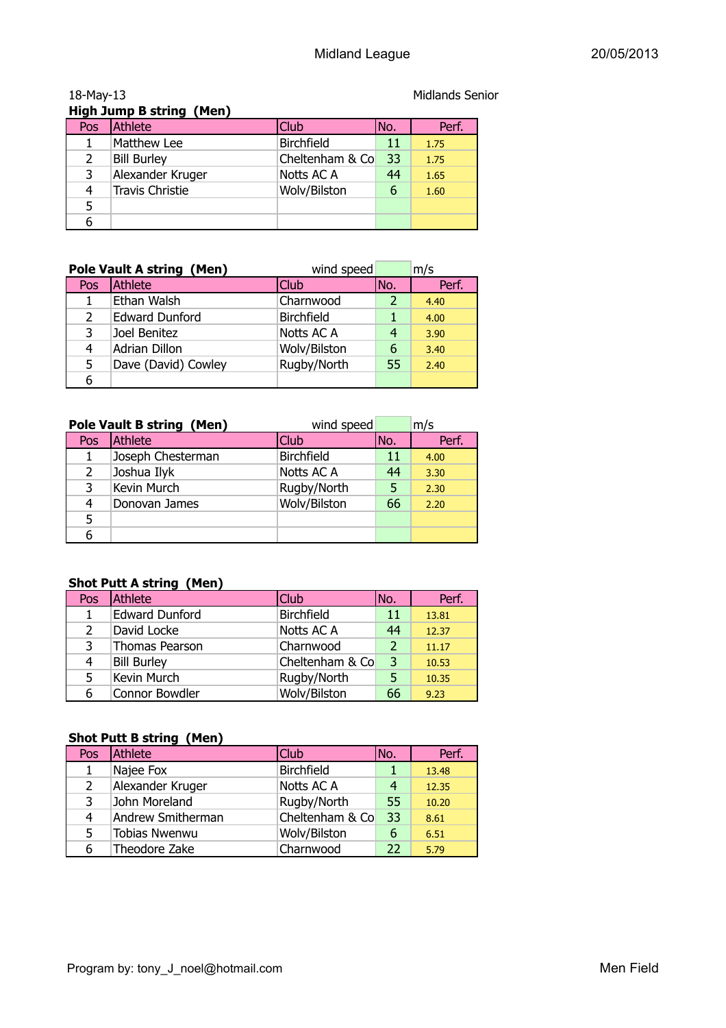| <b>High Jump B string (Men)</b> |                        |                   |     |       |  |
|---------------------------------|------------------------|-------------------|-----|-------|--|
| Pos                             | Athlete                | Club              | No. | Perf. |  |
|                                 | Matthew Lee            | <b>Birchfield</b> | 11  | 1.75  |  |
| $\overline{2}$                  | <b>Bill Burley</b>     | Cheltenham & Co   | 33  | 1.75  |  |
| 3                               | Alexander Kruger       | Notts AC A        | 44  | 1.65  |  |
| 4                               | <b>Travis Christie</b> | Wolv/Bilston      | 6   | 1.60  |  |
| 5                               |                        |                   |     |       |  |
|                                 |                        |                   |     |       |  |

| <b>Pole Vault A string (Men)</b><br>wind speed |                       |                   |     | m/s   |
|------------------------------------------------|-----------------------|-------------------|-----|-------|
| Pos                                            | Athlete               | Club              | No. | Perf. |
|                                                | Ethan Walsh           | Charnwood         |     | 4.40  |
| $\mathcal{L}$                                  | <b>Edward Dunford</b> | <b>Birchfield</b> |     | 4.00  |
| 3                                              | Joel Benitez          | Notts AC A        | 4   | 3.90  |
| 4                                              | Adrian Dillon         | Wolv/Bilston      | 6   | 3.40  |
| 5.                                             | Dave (David) Cowley   | Rugby/North       | 55  | 2.40  |
| 6                                              |                       |                   |     |       |

| wind speed<br><b>Pole Vault B string (Men)</b> |                   |                   | m/s |       |
|------------------------------------------------|-------------------|-------------------|-----|-------|
| Pos                                            | Athlete           | Club              | No. | Perf. |
|                                                | Joseph Chesterman | <b>Birchfield</b> | 11  | 4.00  |
| 2                                              | Joshua Ilyk       | Notts AC A        | 44  | 3.30  |
| 3                                              | Kevin Murch       | Rugby/North       | 5   | 2.30  |
| 4                                              | Donovan James     | Wolv/Bilston      | 66  | 2.20  |
| 5                                              |                   |                   |     |       |
| 6                                              |                   |                   |     |       |

#### **Shot Putt A string (Men)**

| Pos            | Athlete               | Club              | No.            | Perf. |
|----------------|-----------------------|-------------------|----------------|-------|
| 1              | <b>Edward Dunford</b> | <b>Birchfield</b> | 11             | 13.81 |
| $\overline{2}$ | David Locke           | Notts AC A        | 44             | 12.37 |
| 3              | Thomas Pearson        | Charnwood         | $\overline{2}$ | 11.17 |
| 4              | <b>Bill Burley</b>    | Cheltenham & Co   | 3              | 10.53 |
| 5              | Kevin Murch           | Rugby/North       | 5.             | 10.35 |
| 6              | Connor Bowdler        | Wolv/Bilston      | 66             | 9.23  |

#### **Shot Putt B string (Men)**

| Pos | Athlete           | Club              | No. | Perf. |
|-----|-------------------|-------------------|-----|-------|
|     | Najee Fox         | <b>Birchfield</b> |     | 13.48 |
| 2   | Alexander Kruger  | Notts AC A        | 4   | 12.35 |
| 3   | John Moreland     | Rugby/North       | 55  | 10.20 |
| 4   | Andrew Smitherman | Cheltenham & Co   | 33  | 8.61  |
| 5   | Tobias Nwenwu     | Wolv/Bilston      | 6   | 6.51  |
| 6   | Theodore Zake     | Charnwood         | 22  | 5.79  |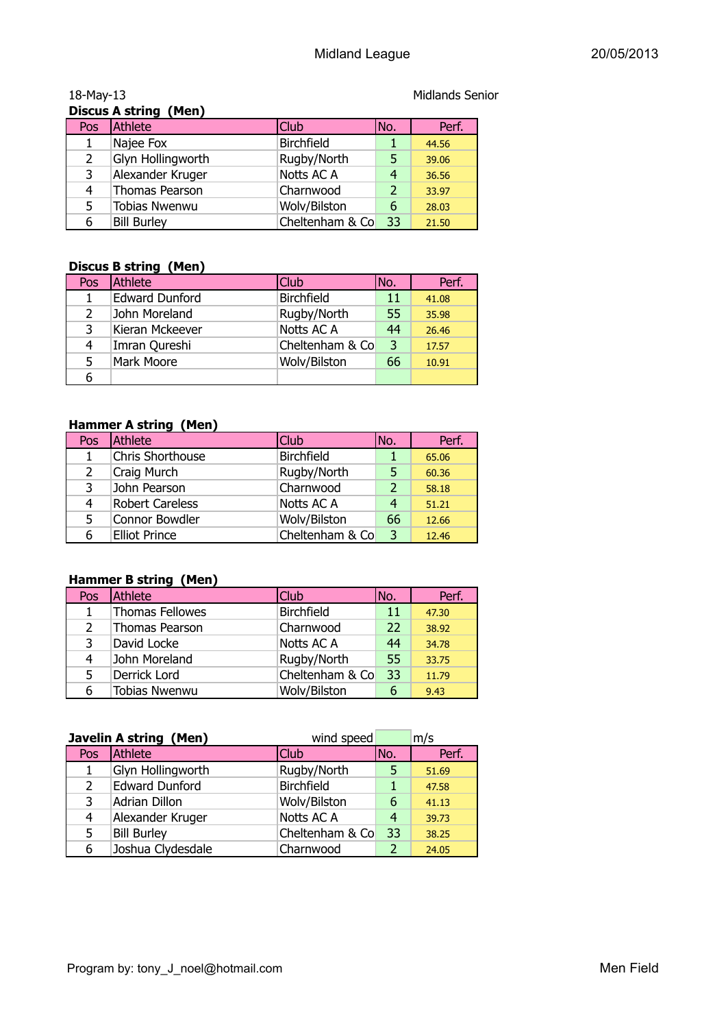| <b>Discus A string (Men)</b> |                       |                   |                |       |
|------------------------------|-----------------------|-------------------|----------------|-------|
| Pos                          | Athlete               | Club              | No.            | Perf. |
|                              | Najee Fox             | <b>Birchfield</b> |                | 44.56 |
|                              | Glyn Hollingworth     | Rugby/North       | 5              | 39.06 |
| 3                            | Alexander Kruger      | Notts AC A        | 4              | 36.56 |
| 4                            | <b>Thomas Pearson</b> | Charnwood         | $\overline{2}$ | 33.97 |
| 5                            | <b>Tobias Nwenwu</b>  | Wolv/Bilston      | 6              | 28.03 |
| 6                            | <b>Bill Burley</b>    | Cheltenham & Co   | 33             | 21.50 |

#### **Discus B string (Men)**

| Pos           | Athlete               | Club              | INo. | Perf. |
|---------------|-----------------------|-------------------|------|-------|
|               | <b>Edward Dunford</b> | <b>Birchfield</b> | 11   | 41.08 |
| $\mathcal{P}$ | John Moreland         | Rugby/North       | 55   | 35.98 |
| 3             | Kieran Mckeever       | Notts AC A        | 44   | 26.46 |
| 4             | Imran Qureshi         | Cheltenham & Co   | 3    | 17.57 |
| 5             | Mark Moore            | Wolv/Bilston      | 66   | 10.91 |
|               |                       |                   |      |       |

#### **Hammer A string (Men)**

| Pos | Athlete                | Club              | No.            | Perf. |
|-----|------------------------|-------------------|----------------|-------|
|     | Chris Shorthouse       | <b>Birchfield</b> |                | 65.06 |
| 2   | Craig Murch            | Rugby/North       | 5.             | 60.36 |
| 3   | John Pearson           | Charnwood         | $\overline{2}$ | 58.18 |
| 4   | <b>Robert Careless</b> | Notts AC A        | 4              | 51.21 |
| 5.  | Connor Bowdler         | Wolv/Bilston      | 66             | 12.66 |
| 6   | <b>Elliot Prince</b>   | Cheltenham & Co   | 3              | 12.46 |

#### **Hammer B string (Men)**

| Pos           | Athlete                | Club              | No. | Perf. |
|---------------|------------------------|-------------------|-----|-------|
| 1             | <b>Thomas Fellowes</b> | <b>Birchfield</b> | 11  | 47.30 |
| $\mathcal{P}$ | Thomas Pearson         | Charnwood         | 22  | 38.92 |
| 3             | David Locke            | Notts AC A        | 44  | 34.78 |
| 4             | John Moreland          | Rugby/North       | 55  | 33.75 |
| 5             | Derrick Lord           | Cheltenham & Co   | 33  | 11.79 |
| 6             | <b>Tobias Nwenwu</b>   | Wolv/Bilston      | 6   | 9.43  |

| <b>Javelin A string (Men)</b><br>wind speed |                       |                   | m/s |       |
|---------------------------------------------|-----------------------|-------------------|-----|-------|
| Pos                                         | Athlete               | <b>Club</b>       | No. | Perf. |
| 1                                           | Glyn Hollingworth     | Rugby/North       |     | 51.69 |
| $\overline{2}$                              | <b>Edward Dunford</b> | <b>Birchfield</b> |     | 47.58 |
| 3                                           | <b>Adrian Dillon</b>  | Wolv/Bilston      | 6   | 41.13 |
| 4                                           | Alexander Kruger      | Notts AC A        | 4   | 39.73 |
| 5                                           | <b>Bill Burley</b>    | Cheltenham & Co   | 33  | 38.25 |
| 6                                           | Joshua Clydesdale     | Charnwood         |     | 24.05 |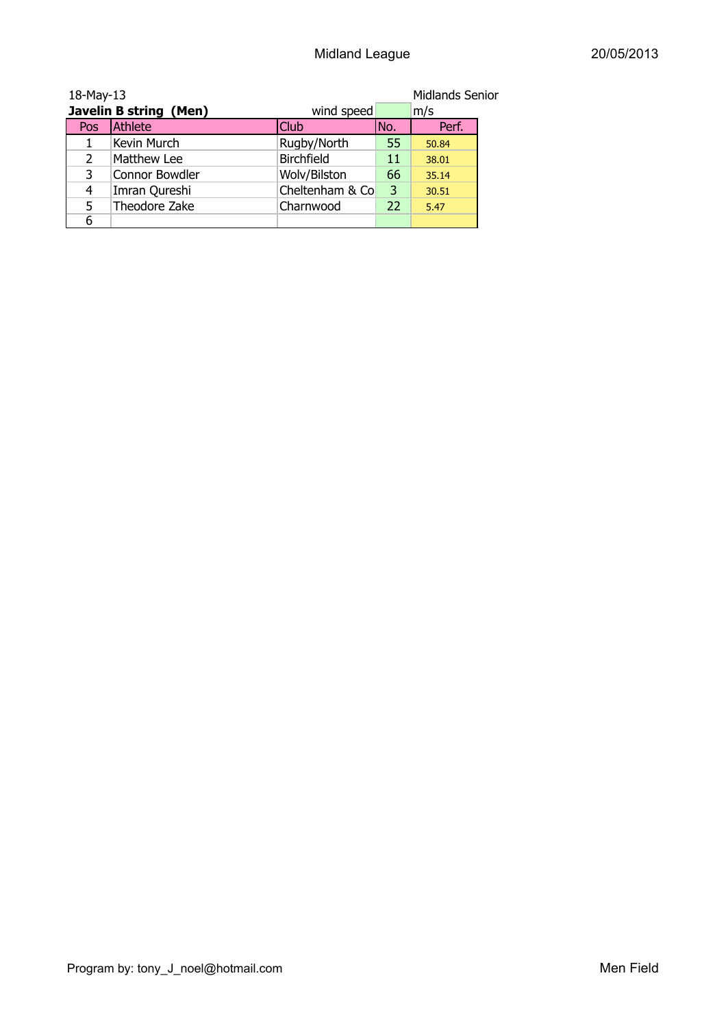| <b>Midlands Senior</b><br>18-May-13 |                        |                 |      |       |
|-------------------------------------|------------------------|-----------------|------|-------|
|                                     | Javelin B string (Men) | wind speed      |      | m/s   |
| Pos                                 | Athlete                | <b>Club</b>     | INo. | Perf. |
|                                     | Kevin Murch            | Rugby/North     | 55   | 50.84 |
| 2                                   | Matthew Lee            | Birchfield      | 11   | 38.01 |
| 3                                   | Connor Bowdler         | Wolv/Bilston    | 66   | 35.14 |
| 4                                   | Imran Qureshi          | Cheltenham & Co | 3    | 30.51 |
| 5                                   | Theodore Zake          | Charnwood       | 22   | 5.47  |
| 6                                   |                        |                 |      |       |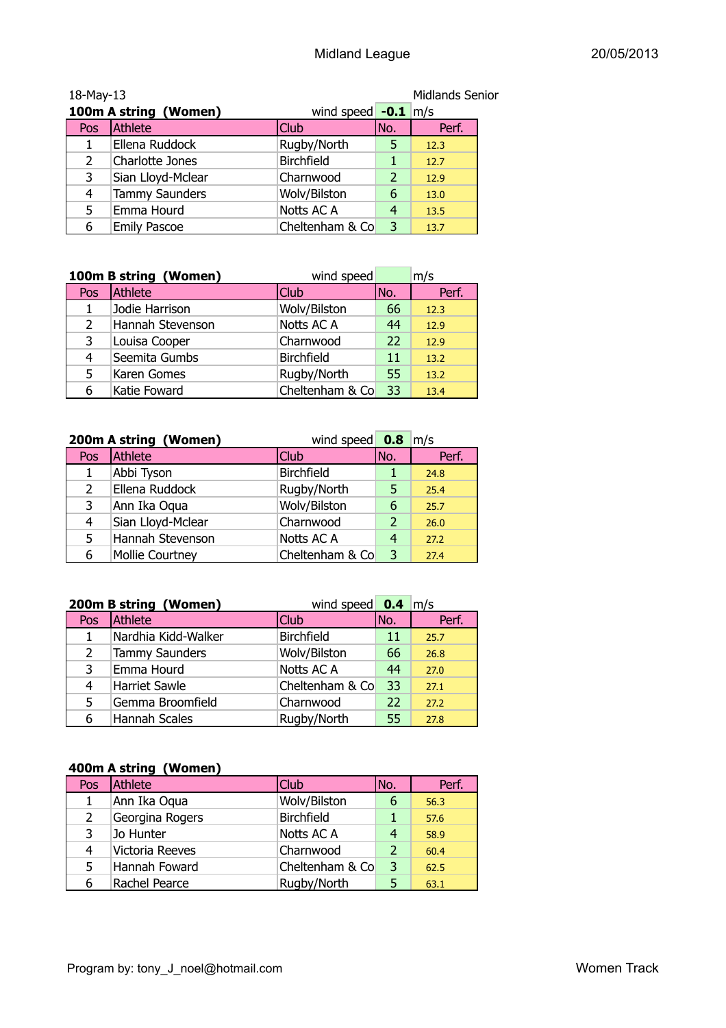| <b>Midlands Senior</b><br>18-May-13 |                       |                       |                |       |
|-------------------------------------|-----------------------|-----------------------|----------------|-------|
|                                     | 100m A string (Women) | wind speed $-0.1$ m/s |                |       |
| Pos                                 | Athlete               | <b>Club</b>           | INo.           | Perf. |
|                                     | Ellena Ruddock        | Rugby/North           | 5              | 12.3  |
| 2                                   | Charlotte Jones       | <b>Birchfield</b>     | 1              | 12.7  |
| 3                                   | Sian Lloyd-Mclear     | Charnwood             | $\overline{2}$ | 12.9  |
| 4                                   | <b>Tammy Saunders</b> | Wolv/Bilston          | 6              | 13.0  |
| 5                                   | Emma Hourd            | Notts AC A            | 4              | 13.5  |
| 6                                   | <b>Emily Pascoe</b>   | Cheltenham & Co       | 3              | 13.7  |

|     | 100m B string (Women)<br>wind speed |                   |     | m/s   |
|-----|-------------------------------------|-------------------|-----|-------|
| Pos | Athlete                             | <b>Club</b>       | No. | Perf. |
| 1   | Jodie Harrison                      | Wolv/Bilston      | 66  | 12.3  |
| 2   | Hannah Stevenson                    | Notts AC A        | 44  | 12.9  |
| 3   | Louisa Cooper                       | Charnwood         | 22  | 12.9  |
| 4   | Seemita Gumbs                       | <b>Birchfield</b> | 11  | 13.2  |
| 5   | Karen Gomes                         | Rugby/North       | 55  | 13.2  |
| 6   | Katie Foward                        | Cheltenham & Co   | 33  | 13.4  |

| 200m A string (Women)<br>wind speed $\frac{0.8}{m/s}$ |                        |                   |               |       |
|-------------------------------------------------------|------------------------|-------------------|---------------|-------|
| Pos                                                   | Athlete                | <b>Club</b>       | No.           | Perf. |
| 1                                                     | Abbi Tyson             | <b>Birchfield</b> |               | 24.8  |
| 2                                                     | Ellena Ruddock         | Rugby/North       | 5             | 25.4  |
| 3                                                     | Ann Ika Oqua           | Wolv/Bilston      | 6             | 25.7  |
| 4                                                     | Sian Lloyd-Mclear      | Charnwood         | $\mathcal{P}$ | 26.0  |
| 5                                                     | Hannah Stevenson       | Notts AC A        | 4             | 27.2  |
| 6                                                     | <b>Mollie Courtney</b> | Cheltenham & Co   | 3             | 27.4  |

|     | 200m B string (Women) | wind speed $\overline{0.4}$ m/s |     |       |
|-----|-----------------------|---------------------------------|-----|-------|
| Pos | Athlete               | <b>Club</b>                     | No. | Perf. |
| 1   | Nardhia Kidd-Walker   | <b>Birchfield</b>               | 11  | 25.7  |
| 2   | <b>Tammy Saunders</b> | Wolv/Bilston                    | 66  | 26.8  |
| 3   | Emma Hourd            | Notts AC A                      | 44  | 27.0  |
| 4   | <b>Harriet Sawle</b>  | Cheltenham & Co                 | 33  | 27.1  |
| 5   | Gemma Broomfield      | Charnwood                       | 22  | 27.2  |
| 6   | Hannah Scales         | Rugby/North                     | 55  | 27.8  |

#### **400m A string (Women)**

| Pos | Athlete         | Club              | No.            | Perf. |
|-----|-----------------|-------------------|----------------|-------|
|     | Ann Ika Oqua    | Wolv/Bilston      | 6              | 56.3  |
| 2   | Georgina Rogers | <b>Birchfield</b> |                | 57.6  |
| 3   | Jo Hunter       | Notts AC A        | 4              | 58.9  |
| 4   | Victoria Reeves | Charnwood         | $\overline{2}$ | 60.4  |
| 5   | Hannah Foward   | Cheltenham & Co   | $\overline{3}$ | 62.5  |
| 6   | Rachel Pearce   | Rugby/North       | 5              | 63.1  |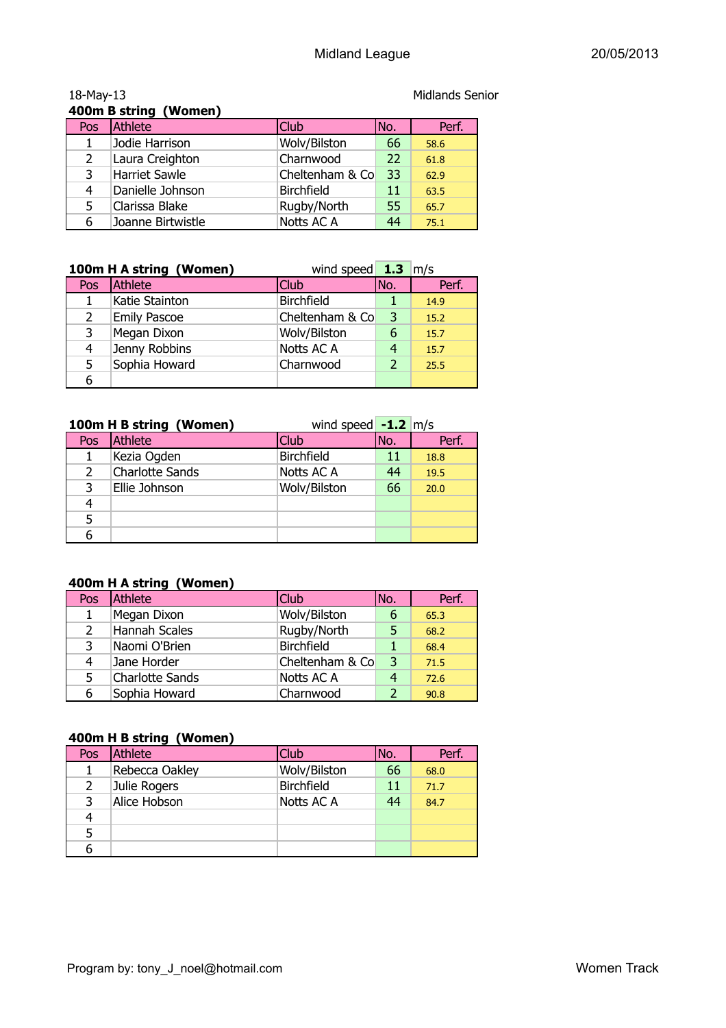|               | 400m B string (Women) |                   |     |       |
|---------------|-----------------------|-------------------|-----|-------|
| Pos.          | Athlete               | <b>Club</b>       | No. | Perf. |
|               | Jodie Harrison        | Wolv/Bilston      | 66  | 58.6  |
| $\mathcal{P}$ | Laura Creighton       | Charnwood         | 22  | 61.8  |
| 3             | <b>Harriet Sawle</b>  | Cheltenham & Co   | 33  | 62.9  |
| 4             | Danielle Johnson      | <b>Birchfield</b> | 11  | 63.5  |
| 5             | Clarissa Blake        | Rugby/North       | 55  | 65.7  |
|               | Joanne Birtwistle     | Notts AC A        | 44  | 75.1  |

|     | 100m H A string (Women) | wind speed $\frac{1.3}{1.3}$ m/s |     |       |
|-----|-------------------------|----------------------------------|-----|-------|
| Pos | Athlete                 | <b>Club</b>                      | No. | Perf. |
|     | Katie Stainton          | <b>Birchfield</b>                |     | 14.9  |
|     | <b>Emily Pascoe</b>     | Cheltenham & Co                  | 3   | 15.2  |
| 3   | Megan Dixon             | Wolv/Bilston                     | 6   | 15.7  |
| 4   | Jenny Robbins           | Notts AC A                       | 4   | 15.7  |
| 5.  | Sophia Howard           | Charnwood                        |     | 25.5  |
| 6   |                         |                                  |     |       |

|     | 100m H B string (Women) | wind speed $-1.2$ m/s |     |       |
|-----|-------------------------|-----------------------|-----|-------|
| Pos | Athlete                 | <b>Club</b>           | No. | Perf. |
| 1   | Kezia Ogden             | <b>Birchfield</b>     | 11  | 18.8  |
| 2   | Charlotte Sands         | Notts AC A            | 44  | 19.5  |
| 3   | Ellie Johnson           | Wolv/Bilston          | 66  | 20.0  |
| 4   |                         |                       |     |       |
| 5   |                         |                       |     |       |
| 6   |                         |                       |     |       |

#### **400m H A string (Women)**

| Pos | Athlete                | Club            | No.            | Perf. |
|-----|------------------------|-----------------|----------------|-------|
| 1   | Megan Dixon            | Wolv/Bilston    | 6              | 65.3  |
| 2   | <b>Hannah Scales</b>   | Rugby/North     | 5              | 68.2  |
| 3   | Naomi O'Brien          | Birchfield      | $\mathbf{1}$   | 68.4  |
| 4   | Jane Horder            | Cheltenham & Co | $\overline{3}$ | 71.5  |
| 5   | <b>Charlotte Sands</b> | Notts AC A      |                | 72.6  |
| 6   | Sophia Howard          | Charnwood       |                | 90.8  |

#### **400m H B string (Women)**

| Pos | Athlete        | <b>Club</b>       | No. | Perf. |
|-----|----------------|-------------------|-----|-------|
|     | Rebecca Oakley | Wolv/Bilston      | 66  | 68.0  |
| 2   | Julie Rogers   | <b>Birchfield</b> | 11  | 71.7  |
| 3   | Alice Hobson   | Notts AC A        | 44  | 84.7  |
| 4   |                |                   |     |       |
|     |                |                   |     |       |
|     |                |                   |     |       |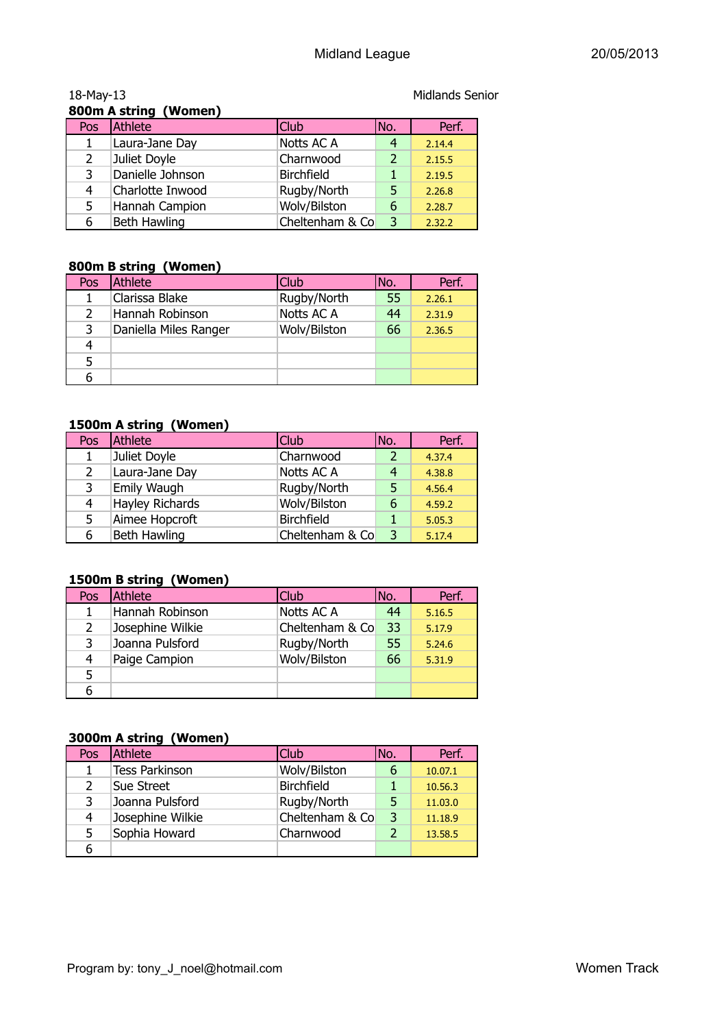| 18-May-13             |                  |                   |                | <b>Midlands Senior</b> |  |
|-----------------------|------------------|-------------------|----------------|------------------------|--|
| 800m A string (Women) |                  |                   |                |                        |  |
| Pos                   | Athlete<br>Club  |                   | No.            | Perf.                  |  |
| 1                     | Laura-Jane Day   | <b>Notts AC A</b> | 4              | 2.14.4                 |  |
| 2                     | Juliet Doyle     | Charnwood         | $\overline{2}$ | 2.15.5                 |  |
| 3                     | Danielle Johnson | <b>Birchfield</b> |                | 2.19.5                 |  |
| 4                     | Charlotte Inwood | Rugby/North       | 5              | 2.26.8                 |  |
| 5                     | Hannah Campion   | Wolv/Bilston      | 6              | 2.28.7                 |  |
| 6                     | Beth Hawling     | Cheltenham & Co   | 3              | 2.32.2                 |  |

### **800m B string (Women)**

| $\sim$        |                       |              |      |        |  |
|---------------|-----------------------|--------------|------|--------|--|
| Pos           | Athlete               | Club         | INo. | Perf.  |  |
|               | Clarissa Blake        | Rugby/North  | 55   | 2.26.1 |  |
| $\mathcal{L}$ | Hannah Robinson       | Notts AC A   | 44   | 2.31.9 |  |
| 3             | Daniella Miles Ranger | Wolv/Bilston | 66   | 2.36.5 |  |
|               |                       |              |      |        |  |
|               |                       |              |      |        |  |
|               |                       |              |      |        |  |

#### **1500m A string (Women)**

| Pos | Athlete                | <b>Club</b>       | No.           | Perf.  |
|-----|------------------------|-------------------|---------------|--------|
|     | Juliet Doyle           | Charnwood         | $\mathcal{D}$ | 4.37.4 |
| 2   | Laura-Jane Day         | Notts AC A        | 4             | 4.38.8 |
| 3   | Emily Waugh            | Rugby/North       | 5             | 4.56.4 |
| 4   | <b>Hayley Richards</b> | Wolv/Bilston      | 6             | 4.59.2 |
| 5.  | Aimee Hopcroft         | <b>Birchfield</b> |               | 5.05.3 |
| 6   | <b>Beth Hawling</b>    | Cheltenham & Co   | 3             | 5.17.4 |

#### **1500m B string (Women)**

| Pos | Athlete          | Club            | INo. | Perf.  |
|-----|------------------|-----------------|------|--------|
|     | Hannah Robinson  | Notts AC A      | 44   | 5.16.5 |
| 2   | Josephine Wilkie | Cheltenham & Co | 33   | 5.17.9 |
| 3   | Joanna Pulsford  | Rugby/North     | 55   | 5.24.6 |
| 4   | Paige Campion    | Wolv/Bilston    | 66   | 5.31.9 |
| 5   |                  |                 |      |        |
| 6   |                  |                 |      |        |

#### **3000m A string (Women)**

| Pos | Athlete               | Club              | No. | Perf.   |
|-----|-----------------------|-------------------|-----|---------|
|     | <b>Tess Parkinson</b> | Wolv/Bilston      | 6   | 10.07.1 |
|     | Sue Street            | <b>Birchfield</b> |     | 10.56.3 |
|     | Joanna Pulsford       | Rugby/North       | 5   | 11.03.0 |
| 4   | Josephine Wilkie      | Cheltenham & Co   | 3   | 11.18.9 |
| 5.  | Sophia Howard         | Charnwood         |     | 13.58.5 |
|     |                       |                   |     |         |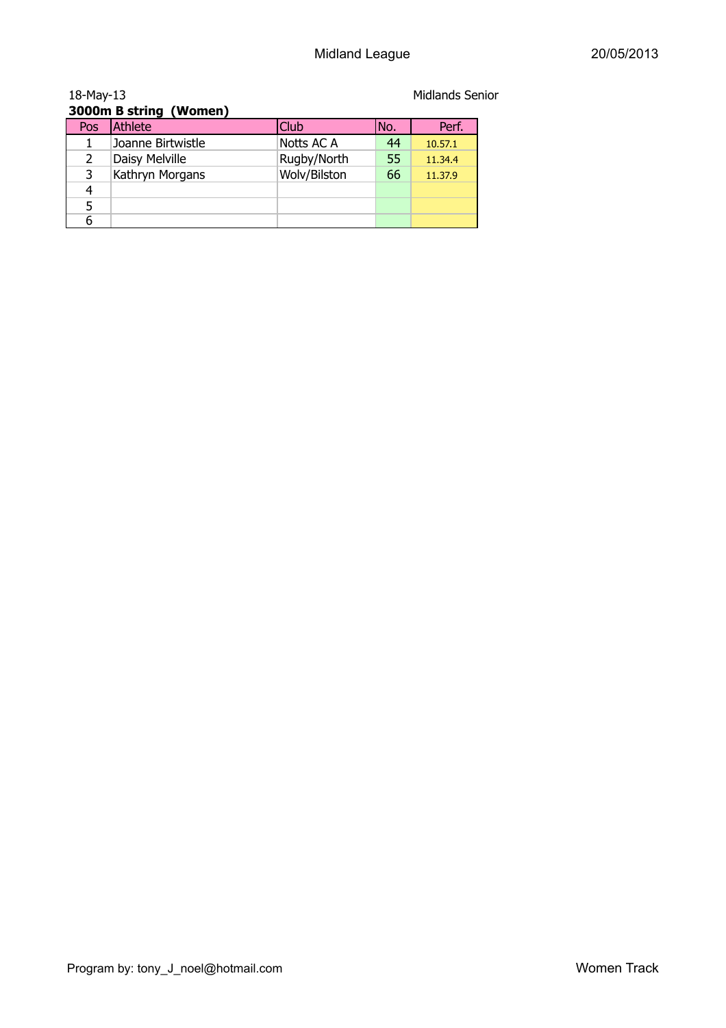| 18-May-13 | <b>Midlands Senior</b> |              |     |         |  |  |
|-----------|------------------------|--------------|-----|---------|--|--|
|           | 3000m B string (Women) |              |     |         |  |  |
| Pos       | Athlete                | Club         | No. | Perf.   |  |  |
|           | Joanne Birtwistle      | Notts AC A   | 44  | 10.57.1 |  |  |
| 2         | Daisy Melville         | Rugby/North  | 55  | 11.34.4 |  |  |
| 3         | Kathryn Morgans        | Wolv/Bilston | 66  | 11.37.9 |  |  |
| 4         |                        |              |     |         |  |  |
| 5         |                        |              |     |         |  |  |
| 6         |                        |              |     |         |  |  |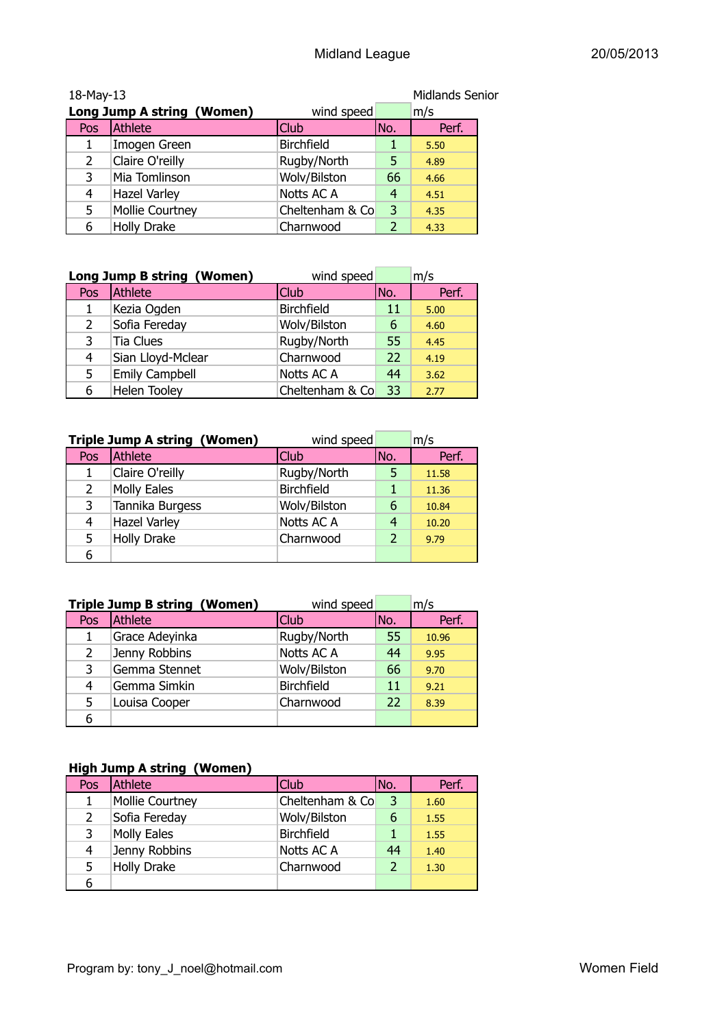| Midlands Senior<br>18-May-13 |                            |                   |               |       |  |
|------------------------------|----------------------------|-------------------|---------------|-------|--|
|                              | Long Jump A string (Women) | wind speed        |               | m/s   |  |
| Pos                          | Athlete                    | <b>Club</b>       | No.           | Perf. |  |
|                              | Imogen Green               | <b>Birchfield</b> |               | 5.50  |  |
| $\mathcal{P}$                | Claire O'reilly            | Rugby/North       | 5             | 4.89  |  |
| 3                            | Mia Tomlinson              | Wolv/Bilston      | 66            | 4.66  |  |
| 4                            | <b>Hazel Varley</b>        | Notts AC A        | 4             | 4.51  |  |
| 5                            | Mollie Courtney            | Cheltenham & Co   | 3             | 4.35  |  |
| 6                            | <b>Holly Drake</b>         | Charnwood         | $\mathcal{P}$ | 4.33  |  |

|                | Long Jump B string (Women) | wind speed        |     | m/s   |
|----------------|----------------------------|-------------------|-----|-------|
| Pos            | Athlete                    | <b>Club</b>       | No. | Perf. |
| 1              | Kezia Ogden                | <b>Birchfield</b> | 11  | 5.00  |
| $\overline{2}$ | Sofia Fereday              | Wolv/Bilston      | 6   | 4.60  |
| 3              | Tia Clues                  | Rugby/North       | 55  | 4.45  |
| 4              | Sian Lloyd-Mclear          | Charnwood         | 22  | 4.19  |
| 5              | Emily Campbell             | Notts AC A        | 44  | 3.62  |
| 6              | <b>Helen Tooley</b>        | Cheltenham & Co   | 33  | 2.77  |

|     | <b>Triple Jump A string (Women)</b> | wind speed        |               | m/s   |
|-----|-------------------------------------|-------------------|---------------|-------|
| Pos | Athlete                             | <b>Club</b>       | INo.          | Perf. |
| 1   | Claire O'reilly                     | Rugby/North       |               | 11.58 |
| 2   | <b>Molly Eales</b>                  | <b>Birchfield</b> |               | 11.36 |
| 3   | Tannika Burgess                     | Wolv/Bilston      | 6             | 10.84 |
| 4   | <b>Hazel Varley</b>                 | Notts AC A        | 4             | 10.20 |
| 5   | <b>Holly Drake</b>                  | Charnwood         | $\mathcal{P}$ | 9.79  |
| 6   |                                     |                   |               |       |

|                | <b>Triple Jump B string (Women)</b> | wind speed        |     | m/s   |
|----------------|-------------------------------------|-------------------|-----|-------|
| Pos            | Athlete                             | <b>Club</b>       | No. | Perf. |
| 1              | Grace Adeyinka                      | Rugby/North       | 55  | 10.96 |
| $\overline{2}$ | Jenny Robbins                       | Notts AC A        | 44  | 9.95  |
| 3              | Gemma Stennet                       | Wolv/Bilston      | 66  | 9.70  |
| 4              | Gemma Simkin                        | <b>Birchfield</b> | 11  | 9.21  |
| 5              | Louisa Cooper                       | Charnwood         | 22  | 8.39  |
| 6              |                                     |                   |     |       |

#### **High Jump A string (Women)**

| Pos            | Athlete                | <b>Club</b>       | No.           | Perf. |
|----------------|------------------------|-------------------|---------------|-------|
|                | <b>Mollie Courtney</b> | Cheltenham & Co   | 3             | 1.60  |
| $\overline{2}$ | Sofia Fereday          | Wolv/Bilston      | 6             | 1.55  |
| 3              | <b>Molly Eales</b>     | <b>Birchfield</b> |               | 1.55  |
| 4              | Jenny Robbins          | Notts AC A        | 44            | 1.40  |
| 5.             | <b>Holly Drake</b>     | Charnwood         | $\mathcal{P}$ | 1.30  |
| 6              |                        |                   |               |       |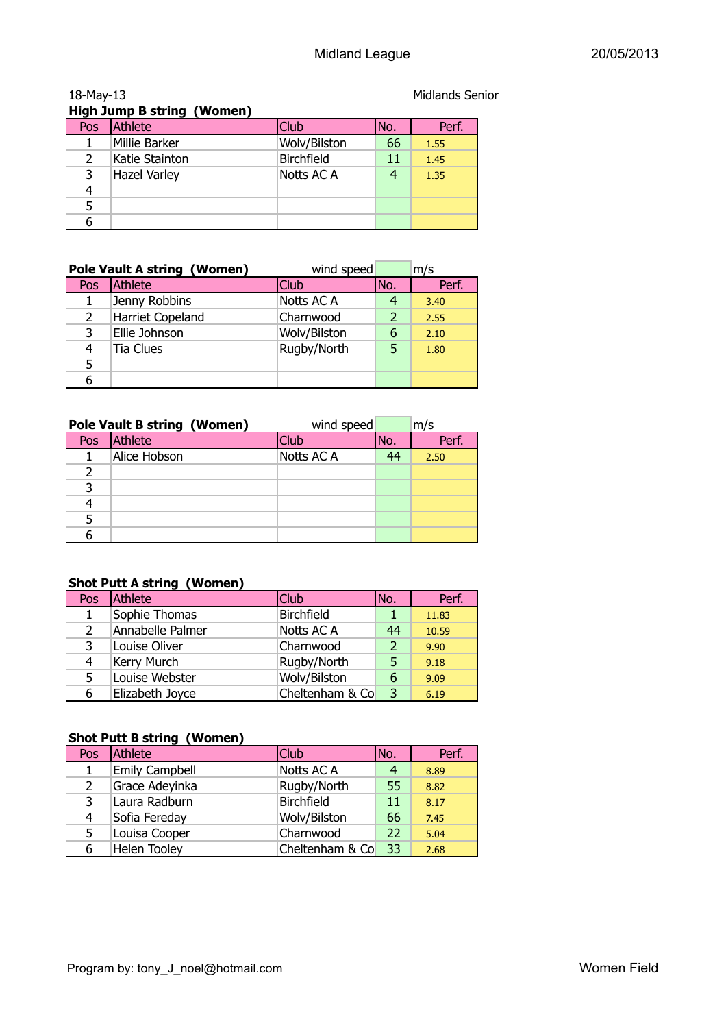|               | <b>High Jump B string (Women)</b> |                   |     |       |
|---------------|-----------------------------------|-------------------|-----|-------|
| Pos           | Athlete                           | Club              | No. | Perf. |
|               | Millie Barker                     | Wolv/Bilston      | 66  | 1.55  |
| $\mathcal{L}$ | Katie Stainton                    | <b>Birchfield</b> | 11  | 1.45  |
| 3             | <b>Hazel Varley</b>               | Notts AC A        | 4   | 1.35  |
| 4             |                                   |                   |     |       |
|               |                                   |                   |     |       |
|               |                                   |                   |     |       |

|     | <b>Pole Vault A string (Women)</b> | wind speed   |     | m/s   |
|-----|------------------------------------|--------------|-----|-------|
| Pos | Athlete                            | <b>Club</b>  | No. | Perf. |
|     | Jenny Robbins                      | Notts AC A   |     | 3.40  |
| 2   | <b>Harriet Copeland</b>            | Charnwood    |     | 2.55  |
| 3   | Ellie Johnson                      | Wolv/Bilston | 6   | 2.10  |
|     | <b>Tia Clues</b>                   | Rugby/North  |     | 1.80  |
| 5   |                                    |              |     |       |
|     |                                    |              |     |       |

|     | <b>Pole Vault B string (Women)</b> | wind speed  |     | m/s   |
|-----|------------------------------------|-------------|-----|-------|
| Pos | Athlete                            | <b>Club</b> | No. | Perf. |
|     | Alice Hobson                       | Notts AC A  | 44  | 2.50  |
|     |                                    |             |     |       |
|     |                                    |             |     |       |
|     |                                    |             |     |       |
|     |                                    |             |     |       |
|     |                                    |             |     |       |

#### **Shot Putt A string (Women)**

| Pos           | Athlete          | <b>Club</b>       | No.            | Perf. |
|---------------|------------------|-------------------|----------------|-------|
| 1             | Sophie Thomas    | <b>Birchfield</b> |                | 11.83 |
| $\mathcal{P}$ | Annabelle Palmer | Notts AC A        | 44             | 10.59 |
| 3             | Louise Oliver    | Charnwood         | $\overline{2}$ | 9.90  |
| 4             | Kerry Murch      | Rugby/North       | 5              | 9.18  |
| 5             | Louise Webster   | Wolv/Bilston      | 6              | 9.09  |
| 6             | Elizabeth Joyce  | Cheltenham & Co   | 3              | 6.19  |

#### **Shot Putt B string (Women)**

| Pos | Athlete               | <b>Club</b>       | No. | Perf. |
|-----|-----------------------|-------------------|-----|-------|
|     | <b>Emily Campbell</b> | Notts AC A        | 4   | 8.89  |
| 2   | Grace Adeyinka        | Rugby/North       | 55  | 8.82  |
| 3   | Laura Radburn         | <b>Birchfield</b> | 11  | 8.17  |
| 4   | Sofia Fereday         | Wolv/Bilston      | 66  | 7.45  |
| 5.  | Louisa Cooper         | Charnwood         | 22  | 5.04  |
| 6   | <b>Helen Tooley</b>   | Cheltenham & Co   | 33  | 2.68  |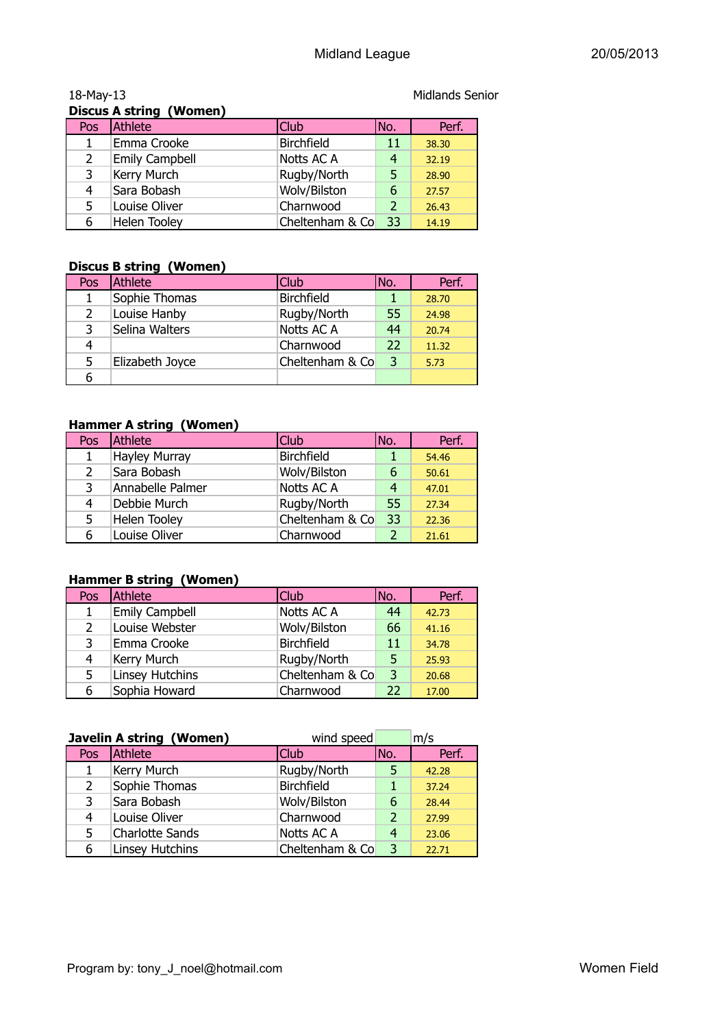|     | Discus A string (Women) |                   |               |       |
|-----|-------------------------|-------------------|---------------|-------|
| Pos | Athlete                 | <b>Club</b>       | No.           | Perf. |
|     | Emma Crooke             | <b>Birchfield</b> | 11            | 38.30 |
| 2   | <b>Emily Campbell</b>   | Notts AC A        | 4             | 32.19 |
| 3   | Kerry Murch             | Rugby/North       | 5             | 28.90 |
| 4   | Sara Bobash             | Wolv/Bilston      | 6             | 27.57 |
| 5   | Louise Oliver           | Charnwood         | $\mathcal{P}$ | 26.43 |
| 6   | Helen Tooley            | Cheltenham & Co   | 33            | 14.19 |

#### 18-May-13 Material Contract Contract Contract Contract Contract Contract Contract Contract Contract Contract Contract Contract Contract Contract Contract Contract Contract Contract Contract Contract Contract Contract Contr **Discus A string (Women)**

#### **Discus B string (Women)**

| Pos | Athlete         | Club              | No. | Perf. |  |
|-----|-----------------|-------------------|-----|-------|--|
|     | Sophie Thomas   | <b>Birchfield</b> |     | 28.70 |  |
| 2   | Louise Hanby    | Rugby/North       | 55  | 24.98 |  |
| 3   | Selina Walters  | Notts AC A        | 44  | 20.74 |  |
| 4   |                 | Charnwood         | 22  | 11.32 |  |
| 5   | Elizabeth Joyce | Cheltenham & Co   | 3   | 5.73  |  |
|     |                 |                   |     |       |  |

#### **Hammer A string (Women)**

| Pos           | Athlete              | Club <sup>1</sup> | No. | Perf. |
|---------------|----------------------|-------------------|-----|-------|
|               | <b>Hayley Murray</b> | <b>Birchfield</b> |     | 54.46 |
| $\mathcal{L}$ | Sara Bobash          | Wolv/Bilston      | 6   | 50.61 |
| 3             | Annabelle Palmer     | Notts AC A        | 4   | 47.01 |
| 4             | Debbie Murch         | Rugby/North       | 55  | 27.34 |
| 5.            | Helen Tooley         | Cheltenham & Co   | 33  | 22.36 |
| 6             | Louise Oliver        | Charnwood         |     | 21.61 |

#### **Hammer B string (Women)**

| Pos            | <b>Athlete</b>         | <b>Club</b>       | No. | Perf. |
|----------------|------------------------|-------------------|-----|-------|
| 1              | <b>Emily Campbell</b>  | Notts AC A        | 44  | 42.73 |
| $\overline{2}$ | Louise Webster         | Wolv/Bilston      | 66  | 41.16 |
| 3              | Emma Crooke            | <b>Birchfield</b> | 11  | 34.78 |
| 4              | Kerry Murch            | Rugby/North       | 5   | 25.93 |
| 5              | <b>Linsey Hutchins</b> | Cheltenham & Co   | 3   | 20.68 |
| 6              | Sophia Howard          | Charnwood         | 22  | 17.00 |

|     | Javelin A string (Women) | wind speed        |               | m/s   |
|-----|--------------------------|-------------------|---------------|-------|
| Pos | Athlete                  | <b>Club</b>       | No.           | Perf. |
| 1   | Kerry Murch              | Rugby/North       |               | 42.28 |
| 2   | Sophie Thomas            | <b>Birchfield</b> |               | 37.24 |
| 3   | Sara Bobash              | Wolv/Bilston      | 6             | 28.44 |
| 4   | Louise Oliver            | Charnwood         | $\mathcal{P}$ | 27.99 |
| 5   | <b>Charlotte Sands</b>   | Notts AC A        |               | 23.06 |
| 6   | <b>Linsey Hutchins</b>   | Cheltenham & Co   | 3             | 22.71 |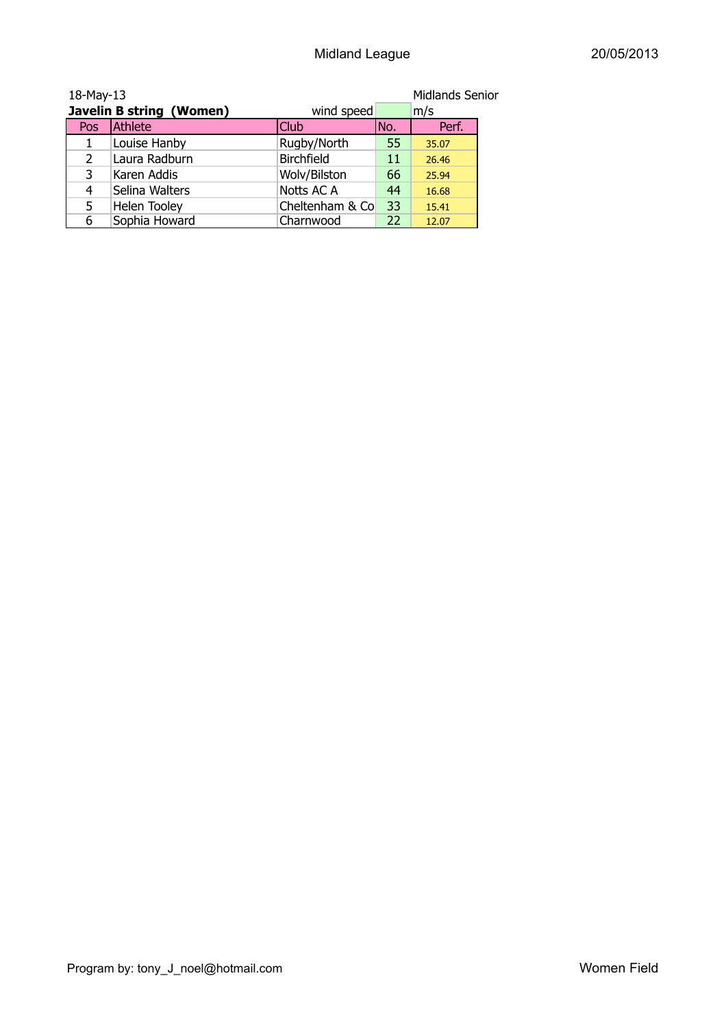| 18-May-13 |                          |                 |      | <b>Midlands Senior</b> |
|-----------|--------------------------|-----------------|------|------------------------|
|           | Javelin B string (Women) | wind speed      |      | m/s                    |
| Pos       | Athlete                  | Club            | INo. | Perf.                  |
|           | Louise Hanby             | Rugby/North     | 55   | 35.07                  |
| 2         | Laura Radburn            | Birchfield      | 11   | 26.46                  |
| 3         | Karen Addis              | Wolv/Bilston    | 66   | 25.94                  |
| 4         | Selina Walters           | Notts AC A      | 44   | 16.68                  |
| 5         | <b>Helen Tooley</b>      | Cheltenham & Co | 33   | 15.41                  |
| 6         | Sophia Howard            | Charnwood       | 22   | 12.07                  |